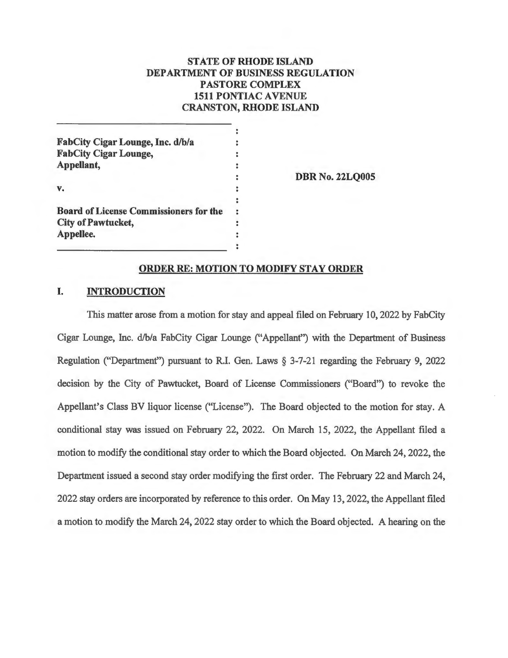# **STATE OF RHODE ISLAND DEPARTMENT OF BUSINESS REGULATION PASTORE COMPLEX 1511 PONTIAC AVENUE CRANSTON, RHODE ISLAND**

| FabCity Cigar Lounge, Inc. d/b/a              |                        |
|-----------------------------------------------|------------------------|
| <b>FabCity Cigar Lounge,</b>                  |                        |
| Appellant,                                    |                        |
|                                               | <b>DBR No. 22LQ005</b> |
| v.                                            |                        |
|                                               |                        |
| <b>Board of License Commissioners for the</b> |                        |
| <b>City of Pawtucket,</b>                     |                        |
| Appellee.                                     |                        |
|                                               |                        |

### **ORDER RE: MOTION TO MODIFY STAY ORDER**

## **I. INTRODUCTION**

This matter arose from a motion for stay and appeal filed on February 10, 2022 by FabCity Cigar Lounge, Inc. d/b/a FabCity Cigar Lounge ("Appellant") with the Department of Business Regulation ("Department") pursuant to R.I. Gen. Laws  $\S 3-7-21$  regarding the February 9, 2022 decision by the City of Pawtucket, Board of License Commissioners ("Board") to revoke the Appellant's Class BV liquor license ("License"). The Board objected to the motion for stay. A conditional stay was issued on February 22, 2022. On March 15, 2022, the Appellant filed a motion to modify the conditional stay order to which the Board objected. On March 24, 2022, the Department issued a second stay order modifying the first order. The February 22 and March 24, 2022 stay orders are incorporated by reference to this order. On May 13, 2022, the Appellant filed a motion to modify the March 24, 2022 stay order to which the Board objected. A hearing on the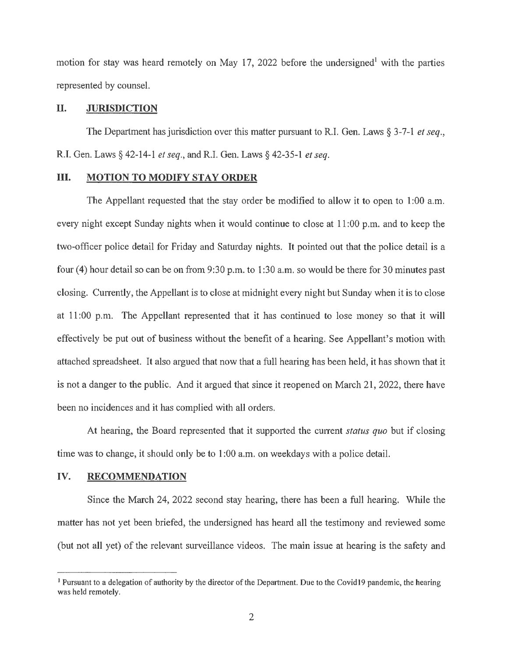motion for stay was heard remotely on May 17, 2022 before the undersigned<sup>1</sup> with the parties represented by counsel.

### **Il. JURISDICTION**

The Department has jurisdiction over this matter pursuant to R.I. Gen. Laws § 3-7-1 *et seq.*, R.I. Gen. Laws§ 42-14-1 *et seq.,* andR.I. Gen. Laws§ 42-35-1 *et seq.* 

# **III.** MOTION TO MODIFY STAY ORDER

The Appellant requested that the stay order be modified to allow it to open to 1:00 a.m. every night except Sunday nights when it would continue to close at 11:00 p.m. and to keep the two-officer police detail for Friday and Saturday nights. It pointed out that the police detail is a four (4) hour detail so can be on from 9:30 p.m. to 1 :30 a.m. so would be there for 30 minutes past closing. Currently, the Appellant is to close at midnight every night but Sunday when it is to close at 11 :00 p.m. The Appellant represented that it has continued to lose money so that it will effectively be put out of business without the benefit of a hearing. See Appellant's motion with attached spreadsheet. It also argued that now that a full hearing has been held, it has shown that it is not a danger to the public. And it argued that since it reopened on March 21, 2022, there have been no incidences and it has complied with all orders.

At hearing, the Board represented that it supported the cunent *status quo* but if closing time was to change, it should only be to 1 :00 a.m. on weekdays with a police detail.

### **IV. RECOMMENDATION**

Since the March 24, 2022 second stay hearing, there has been a full hearing. While the matter has not yet been briefed, the undersigned has heard all the testimony and reviewed some (but not all yet) of the relevant surveillance videos. The main issue at hearing is the safety and

<sup>&</sup>lt;sup>1</sup> Pursuant to a delegation of authority by the director of the Department. Due to the Covid19 pandemic, the hearing was held remotely.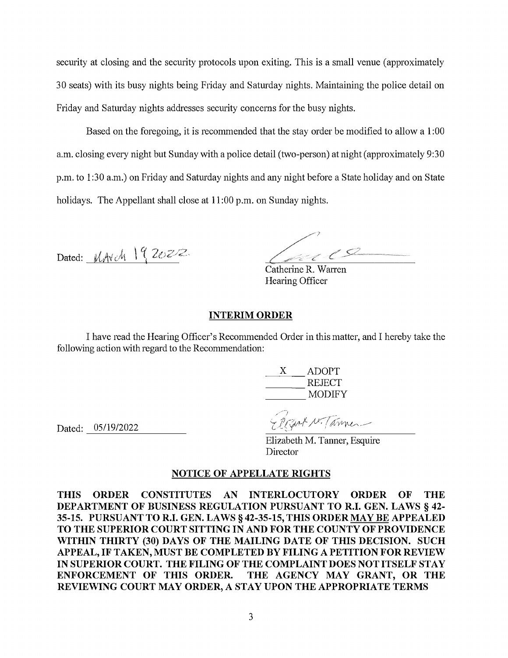security at closing and the security protocols upon exiting. This is a small venue (approximately 30 seats) with its busy nights being Friday and Saturday nights. Maintaining the police detail on Friday and Saturday nights addresses security concerns for the busy nights.

Based on the foregoing, it is recommended that the stay order be modified to allow a 1 :00 a.m. closing every night but Sunday with a police detail (two-person) at night (approximately 9:30 p.m. to 1 :30 a.m.) on Friday and Saturday nights and any night before a State holiday and on State holidays. The Appellant shall close at **11** :00 p.m. on Sunday nights.

Dated: MAVch 192022

Catherine R. Warren

Hearing Officer

## **INTERIM ORDER**

I have read the Hearing Officer's Recommended Order in this matter, and I hereby take the following action with regard to the Recommendation:

 $\frac{X}{\sqrt{1-\frac{1}{2}}}$ X ADOPT X ADOPT<br>REJECT<br>MODIFY

Dated: 05/19/2022

Regnt N. Tanner

Elizabeth M. Tanner, Esquire **Director** 

### **NOTICE OF APPELLATE RIGHTS**

**THIS ORDER CONSTITUTES AN INTERLOCUTORY ORDER OF THE DEPARTMENT OF BUSINESS REGULATION PURSUANT TOR.I. GEN. LAWS§ 42- 35-15. PURSUANT TOR.I. GEN. LAWS§ 42-35-15, THIS ORDER MAY BE APPEALED TO THE SUPERIOR COURT SITTING IN AND FOR THE COUNTY OF PROVIDENCE WITHIN THIRTY (30) DAYS OF THE MAILING DATE OF THIS DECISION. SUCH APPEAL, IF TAKEN, MUST BE COMPLETED BY FILING A PETITION FOR REVIEW IN SUPERIOR COURT. THE FILING OF THE COMPLAINT DOES NOT ITSELF STAY ENFORCEMENT OF THIS ORDER. THE AGENCY MAY GRANT, OR THE REVIEWING COURT MAY ORDER, A STAY UPON THE APPROPRIATE TERMS**